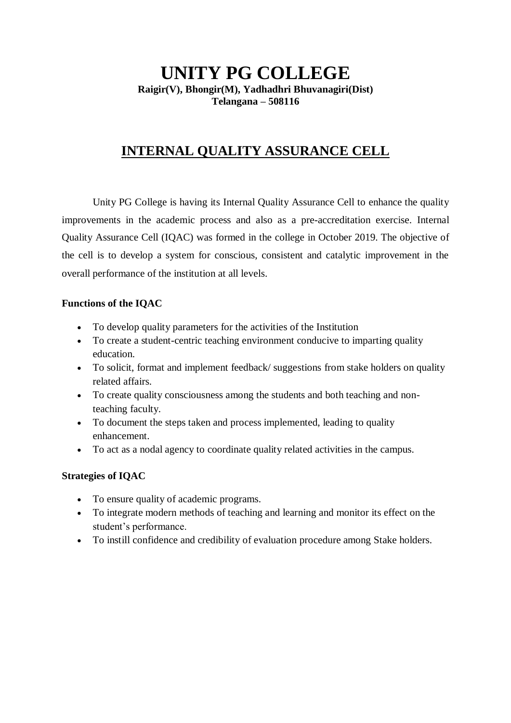### **UNITY PG COLLEGE Raigir(V), Bhongir(M), Yadhadhri Bhuvanagiri(Dist) Telangana – 508116**

## **INTERNAL QUALITY ASSURANCE CELL**

Unity PG College is having its Internal Quality Assurance Cell to enhance the quality improvements in the academic process and also as a pre-accreditation exercise. Internal Quality Assurance Cell (IQAC) was formed in the college in October 2019. The objective of the cell is to develop a system for conscious, consistent and catalytic improvement in the overall performance of the institution at all levels.

#### **Functions of the IQAC**

- To develop quality parameters for the activities of the Institution
- To create a student-centric teaching environment conducive to imparting quality education.
- To solicit, format and implement feedback/ suggestions from stake holders on quality related affairs.
- To create quality consciousness among the students and both teaching and nonteaching faculty.
- To document the steps taken and process implemented, leading to quality enhancement.
- To act as a nodal agency to coordinate quality related activities in the campus.

#### **Strategies of IQAC**

- To ensure quality of academic programs.
- To integrate modern methods of teaching and learning and monitor its effect on the student's performance.
- To instill confidence and credibility of evaluation procedure among Stake holders.